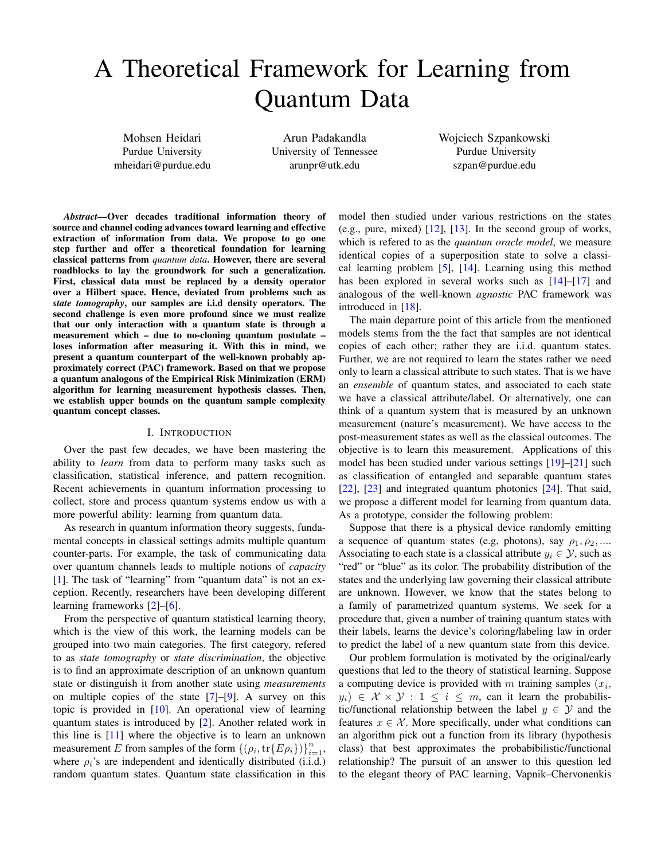# A Theoretical Framework for Learning from Quantum Data

Mohsen Heidari Purdue University mheidari@purdue.edu

Arun Padakandla University of Tennessee arunpr@utk.edu

Wojciech Szpankowski Purdue University szpan@purdue.edu

*Abstract*—Over decades traditional information theory of source and channel coding advances toward learning and effective extraction of information from data. We propose to go one step further and offer a theoretical foundation for learning classical patterns from *quantum data*. However, there are several roadblocks to lay the groundwork for such a generalization. First, classical data must be replaced by a density operator over a Hilbert space. Hence, deviated from problems such as *state tomography*, our samples are i.i.d density operators. The second challenge is even more profound since we must realize that our only interaction with a quantum state is through a measurement which – due to no-cloning quantum postulate – loses information after measuring it. With this in mind, we present a quantum counterpart of the well-known probably approximately correct (PAC) framework. Based on that we propose a quantum analogous of the Empirical Risk Minimization (ERM) algorithm for learning measurement hypothesis classes. Then, we establish upper bounds on the quantum sample complexity quantum concept classes.

# I. INTRODUCTION

Over the past few decades, we have been mastering the ability to *learn* from data to perform many tasks such as classification, statistical inference, and pattern recognition. Recent achievements in quantum information processing to collect, store and process quantum systems endow us with a more powerful ability: learning from quantum data.

As research in quantum information theory suggests, fundamental concepts in classical settings admits multiple quantum counter-parts. For example, the task of communicating data over quantum channels leads to multiple notions of *capacity* [\[1\]](#page-5-0). The task of "learning" from "quantum data" is not an exception. Recently, researchers have been developing different learning frameworks [\[2\]](#page-5-1)–[\[6\]](#page-5-2).

From the perspective of quantum statistical learning theory, which is the view of this work, the learning models can be grouped into two main categories. The first category, refered to as *state tomography* or *state discrimination*, the objective is to find an approximate description of an unknown quantum state or distinguish it from another state using *measurements* on multiple copies of the state [\[7\]](#page-5-3)–[\[9\]](#page-5-4). A survey on this topic is provided in [\[10\]](#page-5-5). An operational view of learning quantum states is introduced by [\[2\]](#page-5-1). Another related work in this line is [\[11\]](#page-5-6) where the objective is to learn an unknown measurement E from samples of the form  $\{(\rho_i, \text{tr}\{E \rho_i\})\}_{i=1}^n$ , where  $\rho_i$ 's are independent and identically distributed (i.i.d.) random quantum states. Quantum state classification in this model then studied under various restrictions on the states (e.g., pure, mixed)  $[12]$ ,  $[13]$ . In the second group of works, which is refered to as the *quantum oracle model*, we measure identical copies of a superposition state to solve a classical learning problem [\[5\]](#page-5-9), [\[14\]](#page-5-10). Learning using this method has been explored in several works such as  $[14]$ – $[17]$  and analogous of the well-known *agnostic* PAC framework was introduced in [\[18\]](#page-5-12).

The main departure point of this article from the mentioned models stems from the the fact that samples are not identical copies of each other; rather they are i.i.d. quantum states. Further, we are not required to learn the states rather we need only to learn a classical attribute to such states. That is we have an *ensemble* of quantum states, and associated to each state we have a classical attribute/label. Or alternatively, one can think of a quantum system that is measured by an unknown measurement (nature's measurement). We have access to the post-measurement states as well as the classical outcomes. The objective is to learn this measurement. Applications of this model has been studied under various settings [\[19\]](#page-5-13)–[\[21\]](#page-5-14) such as classification of entangled and separable quantum states [\[22\]](#page-5-15), [\[23\]](#page-5-16) and integrated quantum photonics [\[24\]](#page-5-17). That said, we propose a different model for learning from quantum data. As a prototype, consider the following problem:

Suppose that there is a physical device randomly emitting a sequence of quantum states (e.g, photons), say  $\rho_1, \rho_2, \ldots$ Associating to each state is a classical attribute  $y_i \in \mathcal{Y}$ , such as "red" or "blue" as its color. The probability distribution of the states and the underlying law governing their classical attribute are unknown. However, we know that the states belong to a family of parametrized quantum systems. We seek for a procedure that, given a number of training quantum states with their labels, learns the device's coloring/labeling law in order to predict the label of a new quantum state from this device.

Our problem formulation is motivated by the original/early questions that led to the theory of statistical learning. Suppose a computing device is provided with  $m$  training samples  $(x_i,$  $y_i$ )  $\in$   $\mathcal{X} \times \mathcal{Y}$  :  $1 \leq i \leq m$ , can it learn the probabilistic/functional relationship between the label  $y \in \mathcal{Y}$  and the features  $x \in \mathcal{X}$ . More specifically, under what conditions can an algorithm pick out a function from its library (hypothesis class) that best approximates the probabibilistic/functional relationship? The pursuit of an answer to this question led to the elegant theory of PAC learning, Vapnik–Chervonenkis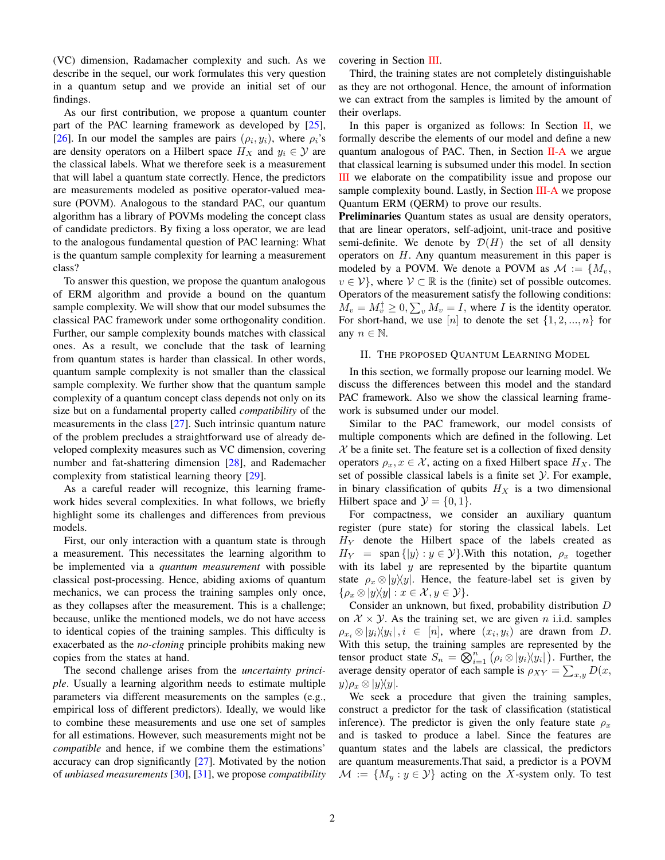(VC) dimension, Radamacher complexity and such. As we describe in the sequel, our work formulates this very question in a quantum setup and we provide an initial set of our findings.

As our first contribution, we propose a quantum counter part of the PAC learning framework as developed by [\[25\]](#page-5-18), [\[26\]](#page-5-19). In our model the samples are pairs  $(\rho_i, y_i)$ , where  $\rho_i$ 's are density operators on a Hilbert space  $H_X$  and  $y_i \in \mathcal{Y}$  are the classical labels. What we therefore seek is a measurement that will label a quantum state correctly. Hence, the predictors are measurements modeled as positive operator-valued measure (POVM). Analogous to the standard PAC, our quantum algorithm has a library of POVMs modeling the concept class of candidate predictors. By fixing a loss operator, we are lead to the analogous fundamental question of PAC learning: What is the quantum sample complexity for learning a measurement class?

To answer this question, we propose the quantum analogous of ERM algorithm and provide a bound on the quantum sample complexity. We will show that our model subsumes the classical PAC framework under some orthogonality condition. Further, our sample complexity bounds matches with classical ones. As a result, we conclude that the task of learning from quantum states is harder than classical. In other words, quantum sample complexity is not smaller than the classical sample complexity. We further show that the quantum sample complexity of a quantum concept class depends not only on its size but on a fundamental property called *compatibility* of the measurements in the class [\[27\]](#page-5-20). Such intrinsic quantum nature of the problem precludes a straightforward use of already developed complexity measures such as VC dimension, covering number and fat-shattering dimension [\[28\]](#page-5-21), and Rademacher complexity from statistical learning theory [\[29\]](#page-5-22).

As a careful reader will recognize, this learning framework hides several complexities. In what follows, we briefly highlight some its challenges and differences from previous models.

First, our only interaction with a quantum state is through a measurement. This necessitates the learning algorithm to be implemented via a *quantum measurement* with possible classical post-processing. Hence, abiding axioms of quantum mechanics, we can process the training samples only once, as they collapses after the measurement. This is a challenge; because, unlike the mentioned models, we do not have access to identical copies of the training samples. This difficulty is exacerbated as the *no-cloning* principle prohibits making new copies from the states at hand.

The second challenge arises from the *uncertainty principle*. Usually a learning algorithm needs to estimate multiple parameters via different measurements on the samples (e.g., empirical loss of different predictors). Ideally, we would like to combine these measurements and use one set of samples for all estimations. However, such measurements might not be *compatible* and hence, if we combine them the estimations' accuracy can drop significantly [\[27\]](#page-5-20). Motivated by the notion of *unbiased measurements* [\[30\]](#page-5-23), [\[31\]](#page-5-24), we propose *compatibility* covering in Section [III.](#page-2-0)

Third, the training states are not completely distinguishable as they are not orthogonal. Hence, the amount of information we can extract from the samples is limited by the amount of their overlaps.

In this paper is organized as follows: In Section  $II$ , we formally describe the elements of our model and define a new quantum analogous of PAC. Then, in Section  $II-A$  we argue that classical learning is subsumed under this model. In section [III](#page-2-0) we elaborate on the compatibility issue and propose our sample complexity bound. Lastly, in Section [III-A](#page-3-0) we propose Quantum ERM (QERM) to prove our results.

Preliminaries Quantum states as usual are density operators, that are linear operators, self-adjoint, unit-trace and positive semi-definite. We denote by  $\mathcal{D}(H)$  the set of all density operators on  $H$ . Any quantum measurement in this paper is modeled by a POVM. We denote a POVM as  $\mathcal{M} := \{M_v,$  $v \in V$ , where  $V \subset \mathbb{R}$  is the (finite) set of possible outcomes. Operators of the measurement satisfy the following conditions:  $M_v = M_v^{\dagger} \geq 0$ ,  $\sum_v M_v = I$ , where *I* is the identity operator. For short-hand, we use [n] to denote the set  $\{1, 2, ..., n\}$  for any  $n \in \mathbb{N}$ .

#### <span id="page-1-0"></span>II. THE PROPOSED QUANTUM LEARNING MODEL

In this section, we formally propose our learning model. We discuss the differences between this model and the standard PAC framework. Also we show the classical learning framework is subsumed under our model.

Similar to the PAC framework, our model consists of multiple components which are defined in the following. Let  $X$  be a finite set. The feature set is a collection of fixed density operators  $\rho_x, x \in \mathcal{X}$ , acting on a fixed Hilbert space  $H_X$ . The set of possible classical labels is a finite set  $Y$ . For example, in binary classification of qubits  $H_X$  is a two dimensional Hilbert space and  $\mathcal{Y} = \{0, 1\}.$ 

For compactness, we consider an auxiliary quantum register (pure state) for storing the classical labels. Let  $H<sub>Y</sub>$  denote the Hilbert space of the labels created as  $H_Y = \text{span} \{ |y\rangle : y \in \mathcal{Y} \}.$  With this notation,  $\rho_x$  together with its label  $y$  are represented by the bipartite quantum state  $\rho_x \otimes |y\rangle\langle y|$ . Hence, the feature-label set is given by  $\{\rho_x \otimes |y\rangle\langle y| : x \in \mathcal{X}, y \in \mathcal{Y}\}.$ 

Consider an unknown, but fixed, probability distribution D on  $X \times Y$ . As the training set, we are given n i.i.d. samples  $\rho_{x_i} \otimes |y_i\rangle\langle y_i|, i \in [n]$ , where  $(x_i, y_i)$  are drawn from D. With this setup, the training samples are represented by the tensor product state  $S_n = \overline{\bigotimes_{i=1}^n} (\rho_i \otimes |y_i\rangle\langle y_i|)$ . Further, the average density operator of each sample is  $\rho_{XY} = \sum_{x,y} D(x,$  $y)\rho_x \otimes |y\rangle\langle y|.$ 

We seek a procedure that given the training samples, construct a predictor for the task of classification (statistical inference). The predictor is given the only feature state  $\rho_x$ and is tasked to produce a label. Since the features are quantum states and the labels are classical, the predictors are quantum measurements.That said, a predictor is a POVM  $\mathcal{M} := \{M_y : y \in \mathcal{Y}\}\$ acting on the X-system only. To test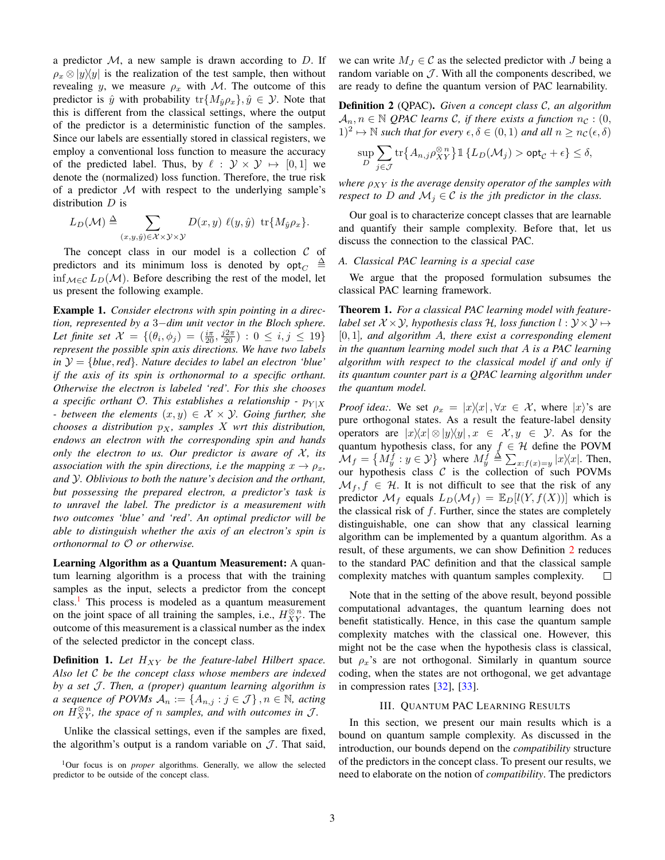a predictor  $M$ , a new sample is drawn according to  $D$ . If  $\rho_x \otimes |y\rangle\langle y|$  is the realization of the test sample, then without revealing y, we measure  $\rho_x$  with M. The outcome of this predictor is  $\hat{y}$  with probability  $tr{M_{\hat{y}}\rho_x}$ ,  $\hat{y} \in \mathcal{Y}$ . Note that this is different from the classical settings, where the output of the predictor is a deterministic function of the samples. Since our labels are essentially stored in classical registers, we employ a conventional loss function to measure the accuracy of the predicted label. Thus, by  $\ell : \mathcal{Y} \times \mathcal{Y} \mapsto [0, 1]$  we denote the (normalized) loss function. Therefore, the true risk of a predictor  $M$  with respect to the underlying sample's distribution  $D$  is

$$
L_D(\mathcal{M}) \triangleq \sum_{(x,y,\hat{y}) \in \mathcal{X} \times \mathcal{Y} \times \mathcal{Y}} D(x,y) \ell(y,\hat{y}) \operatorname{tr} \{M_{\hat{y}} \rho_x\}.
$$

The concept class in our model is a collection  $C$  of predictors and its minimum loss is denoted by  $opt_C$ ∆ inf  $M ∈ C$   $L_D(M)$ . Before describing the rest of the model, let us present the following example.

Example 1. *Consider electrons with spin pointing in a direction, represented by a* 3−*dim unit vector in the Bloch sphere.* Let finite set  $\mathcal{X} = \{(\theta_i, \phi_j) = (\frac{i\pi}{20}, \frac{j2\pi}{20}) : 0 \leq i, j \leq 19\}$ *represent the possible spin axis directions. We have two labels in* Y = {*blue*,*red*}*. Nature decides to label an electron 'blue' if the axis of its spin is orthonormal to a specific orthant. Otherwise the electron is labeled 'red'. For this she chooses a specific orthant*  $\mathcal{O}$ *. This establishes a relationship -*  $p_{Y|X}$ *- between the elements*  $(x, y) \in \mathcal{X} \times \mathcal{Y}$ *. Going further, she chooses a distribution*  $p_X$ *, samples* X wrt this distribution, *endows an electron with the corresponding spin and hands only the electron to us. Our predictor is aware of*  $X$ *, its association with the spin directions, i.e the mapping*  $x \to \rho_x$ , *and* Y*. Oblivious to both the nature's decision and the orthant, but possessing the prepared electron, a predictor's task is to unravel the label. The predictor is a measurement with two outcomes 'blue' and 'red'. An optimal predictor will be able to distinguish whether the axis of an electron's spin is orthonormal to* O *or otherwise.*

Learning Algorithm as a Quantum Measurement: A quantum learning algorithm is a process that with the training samples as the input, selects a predictor from the concept class.<sup>[1](#page-2-2)</sup> This process is modeled as a quantum measurement on the joint space of all training the samples, i.e.,  $H_{XY}^{\otimes n}$ . The outcome of this measurement is a classical number as the index of the selected predictor in the concept class.

**Definition 1.** Let  $H_{XY}$  be the feature-label Hilbert space. *Also let* C *be the concept class whose members are indexed by a set J. Then, a (proper) quantum learning algorithm is a sequence of POVMs*  $A_n := \{A_{n,j} : j \in \mathcal{J}\}\$ ,  $n \in \mathbb{N}$ , acting *on*  $\widehat{H}_{XY}^{\otimes n}$ , the space of n samples, and with outcomes in  $\mathcal{J}$ .

Unlike the classical settings, even if the samples are fixed, the algorithm's output is a random variable on  $\mathcal{J}$ . That said, we can write  $M_J \in \mathcal{C}$  as the selected predictor with J being a random variable on  $\mathcal{J}$ . With all the components described, we are ready to define the quantum version of PAC learnability.

<span id="page-2-3"></span>Definition 2 (QPAC). *Given a concept class* C*, an algorithm*  $A_n, n \in \mathbb{N}$  *QPAC learns C, if there exists a function*  $n_c$  : (0,  $(1)^2 \mapsto \mathbb{N}$  *such that for every*  $\epsilon, \delta \in (0, 1)$  *and all*  $n \geq n_{\mathcal{C}}(\epsilon, \delta)$ 

$$
\sup_{D} \sum_{j \in \mathcal{J}} \mathrm{tr} \big\{ A_{n,j} \rho_{XY}^{\otimes \, n} \big\} \, \mathbbm{1} \, \{ L_D(\mathcal{M}_j) > \mathrm{opt}_\mathcal{C} + \epsilon \} \leq \delta,
$$

*where*  $\rho_{XY}$  *is the average density operator of the samples with respect to* D *and*  $M_j \in \mathcal{C}$  *is the jth predictor in the class.* 

Our goal is to characterize concept classes that are learnable and quantify their sample complexity. Before that, let us discuss the connection to the classical PAC.

# <span id="page-2-1"></span>*A. Classical PAC learning is a special case*

We argue that the proposed formulation subsumes the classical PAC learning framework.

Theorem 1. *For a classical PAC learning model with featurelabel set*  $X \times Y$ *, hypothesis class*  $H$ *, loss function*  $l : Y \times Y \mapsto$ [0, 1]*, and algorithm* A*, there exist a corresponding element in the quantum learning model such that* A *is a PAC learning algorithm with respect to the classical model if and only if its quantum counter part is a QPAC learning algorithm under the quantum model.*

*Proof idea:.* We set  $\rho_x = |x\rangle\langle x|, \forall x \in \mathcal{X}$ , where  $|x\rangle$ 's are pure orthogonal states. As a result the feature-label density operators are  $|x\rangle\langle x| \otimes |y\rangle\langle y|, x \in \mathcal{X}, y \in \mathcal{Y}$ . As for the quantum hypothesis class, for any  $f \in \mathcal{H}$  define the POVM  $\mathcal{M}_f = \{ M_y^f : y \in \mathcal{Y} \}$  where  $M_y^f \triangleq \sum_{x: f(x) = y} |x\rangle\langle x|$ . Then, our hypothesis class  $C$  is the collection of such POVMs  $\mathcal{M}_f, f \in \mathcal{H}$ . It is not difficult to see that the risk of any predictor  $\mathcal{M}_f$  equals  $L_D(\mathcal{M}_f) = \mathbb{E}_D[l(Y, f(X))]$  which is the classical risk of  $f$ . Further, since the states are completely distinguishable, one can show that any classical learning algorithm can be implemented by a quantum algorithm. As a result, of these arguments, we can show Definition [2](#page-2-3) reduces to the standard PAC definition and that the classical sample complexity matches with quantum samples complexity.  $\Box$ 

Note that in the setting of the above result, beyond possible computational advantages, the quantum learning does not benefit statistically. Hence, in this case the quantum sample complexity matches with the classical one. However, this might not be the case when the hypothesis class is classical, but  $\rho_x$ 's are not orthogonal. Similarly in quantum source coding, when the states are not orthogonal, we get advantage in compression rates [\[32\]](#page-5-25), [\[33\]](#page-5-26).

# III. QUANTUM PAC LEARNING RESULTS

<span id="page-2-0"></span>In this section, we present our main results which is a bound on quantum sample complexity. As discussed in the introduction, our bounds depend on the *compatibility* structure of the predictors in the concept class. To present our results, we need to elaborate on the notion of *compatibility*. The predictors

<span id="page-2-2"></span><sup>&</sup>lt;sup>1</sup>Our focus is on *proper* algorithms. Generally, we allow the selected predictor to be outside of the concept class.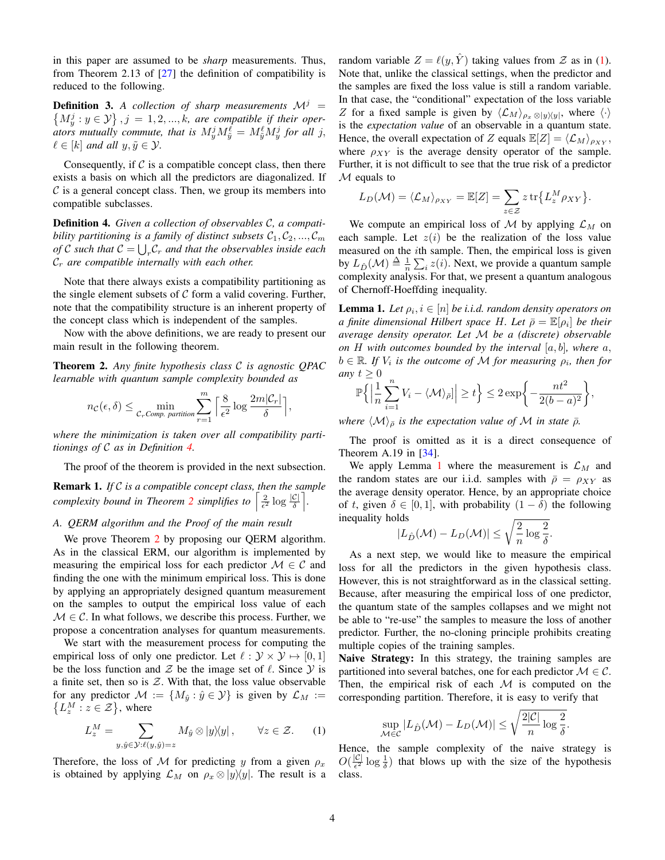in this paper are assumed to be *sharp* measurements. Thus, from Theorem 2.13 of [\[27\]](#page-5-20) the definition of compatibility is reduced to the following.

<span id="page-3-5"></span>**Definition 3.** A collection of sharp measurements  $\mathcal{M}^j$  =  $\{M_y^j : y \in \mathcal{Y}\}\$ ,  $j = 1, 2, ..., k$ , are compatible if their oper*ators mutually commute, that is*  $M_y^j M_{\tilde{y}}^{\ell} = M_{\tilde{y}}^{\ell} M_y^j$  *for all j,*  $\ell \in [k]$  and all  $y, \tilde{y} \in \mathcal{Y}$ .

Consequently, if  $C$  is a compatible concept class, then there exists a basis on which all the predictors are diagonalized. If  $\mathcal C$  is a general concept class. Then, we group its members into compatible subclasses.

<span id="page-3-1"></span>Definition 4. *Given a collection of observables* C*, a compatibility partitioning is a family of distinct subsets*  $C_1, C_2, ..., C_m$ *of*  $C$  such that  $C = \bigcup_r C_r$  and that the observables inside each C<sup>r</sup> *are compatible internally with each other.*

Note that there always exists a compatibility partitioning as the single element subsets of  $C$  form a valid covering. Further, note that the compatibility structure is an inherent property of the concept class which is independent of the samples.

Now with the above definitions, we are ready to present our main result in the following theorem.

<span id="page-3-2"></span>Theorem 2. *Any finite hypothesis class* C *is agnostic QPAC learnable with quantum sample complexity bounded as*

$$
n_{\mathcal{C}}(\epsilon,\delta) \leq \min_{\mathcal{C}_r \text{Comp. partition}} \sum_{r=1}^m \left\lceil \frac{8}{\epsilon^2} \log \frac{2m|\mathcal{C}_r|}{\delta} \right\rceil,
$$

*where the minimization is taken over all compatibility partitionings of* C *as in Definition [4.](#page-3-1)*

The proof of the theorem is provided in the next subsection.

Remark 1. *If* C *is a compatible concept class, then the sample complexity bound in Theorem [2](#page-3-2) simplifies to*  $\left[\frac{2}{\epsilon^2} \log \frac{|\mathcal{C}|}{\delta}\right]$ .

# <span id="page-3-0"></span>*A. QERM algorithm and the Proof of the main result*

We prove Theorem [2](#page-3-2) by proposing our OERM algorithm. As in the classical ERM, our algorithm is implemented by measuring the empirical loss for each predictor  $\mathcal{M} \in \mathcal{C}$  and finding the one with the minimum empirical loss. This is done by applying an appropriately designed quantum measurement on the samples to output the empirical loss value of each  $M \in \mathcal{C}$ . In what follows, we describe this process. Further, we propose a concentration analyses for quantum measurements.

We start with the measurement process for computing the empirical loss of only one predictor. Let  $\ell : \mathcal{Y} \times \mathcal{Y} \mapsto [0, 1]$ be the loss function and  $\mathcal Z$  be the image set of  $\ell$ . Since  $\mathcal Y$  is a finite set, then so is  $Z$ . With that, the loss value observable for any predictor  $\mathcal{M} := \{M_{\hat{y}} : \hat{y} \in \mathcal{Y}\}\$ is given by  $\mathcal{L}_M :=$  $\{L_z^M : z \in \mathcal{Z}\}\,$ , where

$$
L_z^M = \sum_{y, \hat{y} \in \mathcal{Y}: \ell(y, \hat{y}) = z} M_{\hat{y}} \otimes |y\rangle\langle y|, \qquad \forall z \in \mathcal{Z}.
$$
 (1)

Therefore, the loss of M for predicting y from a given  $\rho_x$ is obtained by applying  $\mathcal{L}_M$  on  $\rho_x \otimes |y\rangle\langle y|$ . The result is a

random variable  $Z = \ell(y, \hat{Y})$  taking values from Z as in [\(1\)](#page-3-3). Note that, unlike the classical settings, when the predictor and the samples are fixed the loss value is still a random variable. In that case, the "conditional" expectation of the loss variable Z for a fixed sample is given by  $\langle \mathcal{L}_M \rangle_{\rho_x \otimes |y\rangle\langle y|}$ , where  $\langle \cdot \rangle$ is the *expectation value* of an observable in a quantum state. Hence, the overall expectation of Z equals  $\mathbb{E}[Z] = \langle \mathcal{L}_M \rangle_{\rho_{XY}}$ , where  $\rho_{XY}$  is the average density operator of the sample. Further, it is not difficult to see that the true risk of a predictor  $M$  equals to

$$
L_D(\mathcal{M}) = \langle \mathcal{L}_M \rangle_{\rho_{XY}} = \mathbb{E}[Z] = \sum_{z \in \mathcal{Z}} z \operatorname{tr} \{ L_z^M \rho_{XY} \}.
$$

We compute an empirical loss of M by applying  $\mathcal{L}_M$  on each sample. Let  $z(i)$  be the realization of the loss value measured on the ith sample. Then, the empirical loss is given by  $L_{\hat{D}}(\mathcal{M}) \triangleq \frac{1}{n} \sum_{i} z(i)$ . Next, we provide a quantum sample complexity analysis. For that, we present a quantum analogous of Chernoff-Hoeffding inequality.

<span id="page-3-4"></span>**Lemma 1.** Let  $\rho_i$ ,  $i \in [n]$  be i.i.d. random density operators on *a finite dimensional Hilbert space H. Let*  $\bar{\rho} = \mathbb{E}[\rho_i]$  *be their average density operator. Let* M *be a (discrete) observable on* H *with outcomes bounded by the interval* [a, b]*, where* a,  $b \in \mathbb{R}$ . If  $V_i$  is the outcome of M for measuring  $\rho_i$ , then for *any*  $t > 0$ 

$$
\mathbb{P}\left\{\left|\frac{1}{n}\sum_{i=1}^n V_i - \langle \mathcal{M}\rangle_{\bar{\rho}}\right|\geq t\right\} \leq 2\exp\left\{-\frac{nt^2}{2(b-a)^2}\right\},\
$$

*where*  $\langle \mathcal{M} \rangle_{\bar{\rho}}$  *is the expectation value of* M *in state*  $\bar{\rho}$ *.* 

The proof is omitted as it is a direct consequence of Theorem A.19 in [\[34\]](#page-5-27).

We apply Lemma [1](#page-3-4) where the measurement is  $\mathcal{L}_M$  and the random states are our i.i.d. samples with  $\bar{\rho} = \rho_{XY}$  as the average density operator. Hence, by an appropriate choice of t, given  $\delta \in [0, 1]$ , with probability  $(1 - \delta)$  the following inequality holds

$$
|L_{\hat{D}}(\mathcal{M}) - L_D(\mathcal{M})| \le \sqrt{\frac{2}{n} \log \frac{2}{\delta}}.
$$

As a next step, we would like to measure the empirical loss for all the predictors in the given hypothesis class. However, this is not straightforward as in the classical setting. Because, after measuring the empirical loss of one predictor, the quantum state of the samples collapses and we might not be able to "re-use" the samples to measure the loss of another predictor. Further, the no-cloning principle prohibits creating multiple copies of the training samples.

Naive Strategy: In this strategy, the training samples are partitioned into several batches, one for each predictor  $\mathcal{M} \in \mathcal{C}$ . Then, the empirical risk of each  $M$  is computed on the corresponding partition. Therefore, it is easy to verify that

$$
\sup_{\mathcal{M}\in \mathcal{C}}|L_{\hat{D}}(\mathcal{M})-L_D(\mathcal{M})|\leq \sqrt{\frac{2|\mathcal{C}|}{n}\log{\frac{2}{\delta}}}.
$$

<span id="page-3-3"></span>Hence, the sample complexity of the naive strategy is  $O(\frac{|\mathcal{C}|}{\epsilon^2})$  $\frac{|\mathcal{C}|}{\epsilon^2} \log \frac{1}{\delta}$ ) that blows up with the size of the hypothesis class.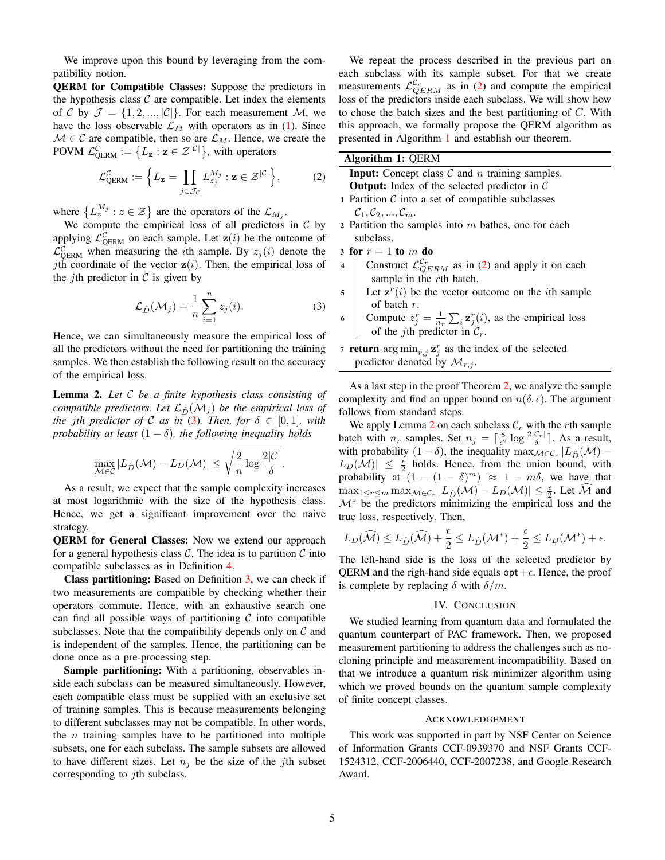We improve upon this bound by leveraging from the compatibility notion.

QERM for Compatible Classes: Suppose the predictors in the hypothesis class  $C$  are compatible. Let index the elements of C by  $\mathcal{J} = \{1, 2, ..., |\mathcal{C}|\}$ . For each measurement M, we have the loss observable  $\mathcal{L}_M$  with operators as in [\(1\)](#page-3-3). Since  $M \in \mathcal{C}$  are compatible, then so are  $\mathcal{L}_M$ . Hence, we create the POVM  $\mathcal{L}^{\mathcal{C}}_{\text{QERM}} := \{L_{\mathbf{z}} : \mathbf{z} \in \mathcal{Z}^{|\mathcal{C}|}\},\$  with operators

$$
\mathcal{L}_{\text{QERM}}^{\mathcal{C}} := \left\{ L_{\mathbf{z}} = \prod_{j \in \mathcal{J}_{\mathcal{C}}} L_{z_j}^{M_j} : \mathbf{z} \in \mathcal{Z}^{|\mathcal{C}|} \right\},\tag{2}
$$

where  $\{L_z^{M_j} : z \in \mathcal{Z}\}\$  are the operators of the  $\mathcal{L}_{M_j}$ .

We compute the empirical loss of all predictors in  $C$  by applying  $\mathcal{L}_{\text{QERM}}^{\mathcal{C}}$  on each sample. Let  $\mathbf{z}(i)$  be the outcome of  $\mathcal{L}_{\text{QERM}}^{\mathcal{C}}$  when measuring the *i*th sample. By  $z_j(i)$  denote the jth coordinate of the vector  $z(i)$ . Then, the empirical loss of the *i*th predictor in  $\mathcal C$  is given by

$$
\mathcal{L}_{\hat{D}}(\mathcal{M}_j) = \frac{1}{n} \sum_{i=1}^n z_j(i).
$$
 (3)

Hence, we can simultaneously measure the empirical loss of all the predictors without the need for partitioning the training samples. We then establish the following result on the accuracy of the empirical loss.

<span id="page-4-3"></span>Lemma 2. *Let* C *be a finite hypothesis class consisting of compatible predictors. Let*  $\mathcal{L}_{\hat{D}}(\mathcal{M}_j)$  *be the empirical loss of the jth predictor of* C *as in* [\(3\)](#page-4-0)*. Then, for*  $\delta \in [0,1]$ *, with probability at least*  $(1 - \delta)$ *, the following inequality holds* 

$$
\max_{\mathcal{M}\in\mathcal{C}}|L_{\hat{D}}(\mathcal{M}) - L_D(\mathcal{M})| \le \sqrt{\frac{2}{n}\log\frac{2|\mathcal{C}|}{\delta}}.
$$

As a result, we expect that the sample complexity increases at most logarithmic with the size of the hypothesis class. Hence, we get a significant improvement over the naive strategy.

QERM for General Classes: Now we extend our approach for a general hypothesis class  $C$ . The idea is to partition  $C$  into compatible subclasses as in Definition [4.](#page-3-1)

Class partitioning: Based on Definition [3,](#page-3-5) we can check if two measurements are compatible by checking whether their operators commute. Hence, with an exhaustive search one can find all possible ways of partitioning  $\mathcal C$  into compatible subclasses. Note that the compatibility depends only on  $C$  and is independent of the samples. Hence, the partitioning can be done once as a pre-processing step.

Sample partitioning: With a partitioning, observables inside each subclass can be measured simultaneously. However, each compatible class must be supplied with an exclusive set of training samples. This is because measurements belonging to different subclasses may not be compatible. In other words, the  $n$  training samples have to be partitioned into multiple subsets, one for each subclass. The sample subsets are allowed to have different sizes. Let  $n_i$  be the size of the jth subset corresponding to *j*th subclass.

We repeat the process described in the previous part on each subclass with its sample subset. For that we create measurements  $\mathcal{L}_{QERM}^{C_r}$  as in [\(2\)](#page-4-1) and compute the empirical loss of the predictors inside each subclass. We will show how to chose the batch sizes and the best partitioning of  $C$ . With this approach, we formally propose the QERM algorithm as presented in Algorithm [1](#page-4-2) and establish our theorem.

| Algorithm 1: QERM |  |
|-------------------|--|
|-------------------|--|

<span id="page-4-2"></span><span id="page-4-1"></span>

| <b>Input:</b> Concept class $C$ and $n$ training samples.       |
|-----------------------------------------------------------------|
| <b>Output:</b> Index of the selected predictor in $\mathcal{C}$ |
| 1 Partition $\mathcal C$ into a set of compatible subclasses    |
| $C_1, C_2, , C_m.$                                              |
| Dortition the complex into m bother one for each                |

- 2 Partition the samples into  $m$  bathes, one for each subclass.
- 3 for  $r = 1$  to m do
- 4 Construct  $\mathcal{L}_{QERM}^{C_r}$  as in [\(2\)](#page-4-1) and apply it on each sample in the *rth* batch.
- <span id="page-4-0"></span> $\mathbf{5}$  Let  $\mathbf{z}^r(i)$  be the vector outcome on the *i*th sample of batch r.

6 Compute  $\bar{z}_j^r = \frac{1}{n_r} \sum_i z_j^r(i)$ , as the empirical loss of the *j*th predictor in  $C_r$ .

**7 return**  $\arg \min_{r,j} \bar{z}_j^r$  as the index of the selected predictor denoted by  $\mathcal{M}_{r,j}$ .

As a last step in the proof Theorem [2,](#page-3-2) we analyze the sample complexity and find an upper bound on  $n(\delta, \epsilon)$ . The argument follows from standard steps.

We apply Lemma [2](#page-4-3) on each subclass  $C_r$  with the rth sample batch with  $n_r$  samples. Set  $n_j = \lceil \frac{8}{\epsilon^2} \log \frac{2|\mathcal{C}_r|}{\delta} \rceil$ . As a result, with probability  $(1 - \delta)$ , the inequality  $\max_{\mathcal{M} \in \mathcal{C}_r} |L_{\hat{D}}(\mathcal{M}) |L_D(\mathcal{M})| \leq \frac{\epsilon}{2}$  holds. Hence, from the union bound, with probability at  $(1 - (1 - \delta)^m) \approx 1 - m\delta$ , we have that  $\max_{1 \leq r \leq m} \max_{M \in \mathcal{C}_r} |L_{\hat{D}}(\mathcal{M}) - L_D(\mathcal{M})| \leq \frac{\epsilon}{2}$ . Let  $\widehat{\mathcal{M}}$  and  $\mathcal{M}^*$  be the predictors minimizing the empirical loss and the true loss, respectively. Then,

$$
L_D(\widehat{\mathcal{M}}) \le L_{\hat{D}}(\widehat{\mathcal{M}}) + \frac{\epsilon}{2} \le L_{\hat{D}}(\mathcal{M}^*) + \frac{\epsilon}{2} \le L_D(\mathcal{M}^*) + \epsilon.
$$

The left-hand side is the loss of the selected predictor by QERM and the righ-hand side equals opt +  $\epsilon$ . Hence, the proof is complete by replacing  $\delta$  with  $\delta/m$ .

# IV. CONCLUSION

We studied learning from quantum data and formulated the quantum counterpart of PAC framework. Then, we proposed measurement partitioning to address the challenges such as nocloning principle and measurement incompatibility. Based on that we introduce a quantum risk minimizer algorithm using which we proved bounds on the quantum sample complexity of finite concept classes.

#### ACKNOWLEDGEMENT

This work was supported in part by NSF Center on Science of Information Grants CCF-0939370 and NSF Grants CCF-1524312, CCF-2006440, CCF-2007238, and Google Research Award.